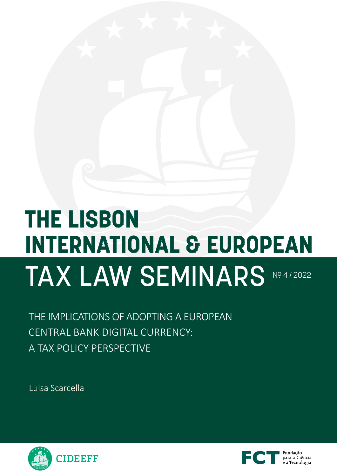# **THE LISBON INTERNATIONAL & EUROPEAN**  TAX LAW SEMINARS NO.4/2022

THE IMPLICATIONS OF ADOPTING A EUROPEAN CENTRAL BANK DIGITAL CURRENCY: A TAX POLICY PERSPECTIVE

Luisa Scarcella



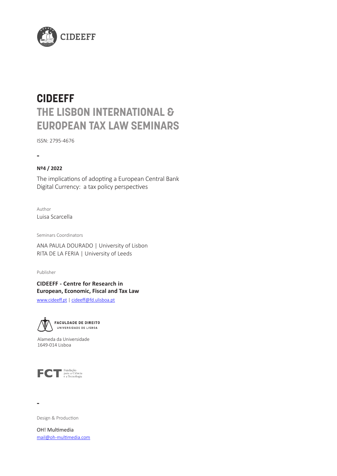

# **CIDEEFF THE LISBON INTERNATIONAL & EUROPEAN TAX LAW SEMINARS**

ISSN: 2795-4676

## **-**

#### **Nº4 / 2022**

The implications of adopting a European Central Bank Digital Currency: a tax policy perspectives

Author Luisa Scarcella

Seminars Coordinators

ANA PAULA DOURADO | University of Lisbon RITA DE LA FERIA | University of Leeds

Publisher

#### **CIDEEFF - Centre for Research in European, Economic, Fiscal and Tax Law**

[www.cideeff.pt](http://www.cideeff.pt) | cideeff@fd.ulisboa.pt



Alameda da Universidade 1649-014 Lisboa



**-**

Design & Production

OH! Multimedia mail@oh-multimedia.com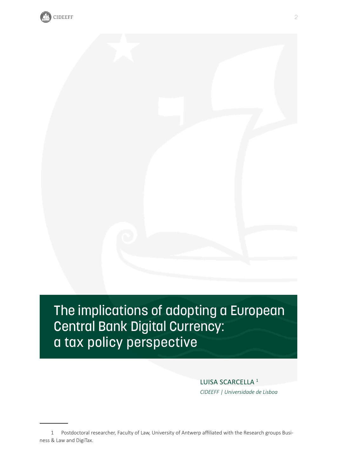

# The implications of adopting a European Central Bank Digital Currency: a tax policy perspective

LUISA SCARCELLA<sup>1</sup> *CIDEEFF | Universidade de Lisboa*

<sup>1</sup> Postdoctoral researcher, Faculty of Law, University of Antwerp affiliated with the Research groups Business & Law and DigiTax.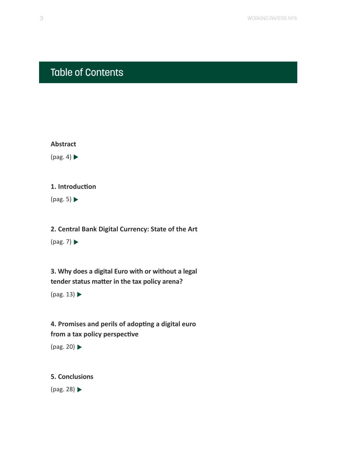## <span id="page-3-0"></span>Table of Contents



 $(pag. 5)$ 

**[2. Central Bank Digital Currency: State of the Art](#page-7-0)** 

 $(pag. 7)$ 

**[3. Why does a digital Euro with or without a legal](#page-13-0)  [tender status matter in the tax policy arena?](#page-13-0)** 

 $(pag. 13)$ 

**[4. Promises and perils of adopting a digital euro](#page-20-0)  [from a tax policy perspective](#page-20-0)**

[\(pag. 20\)](#page-20-0)

**[5. Conclusions](#page-28-0)** 

[\(pag. 28\)](#page-28-0)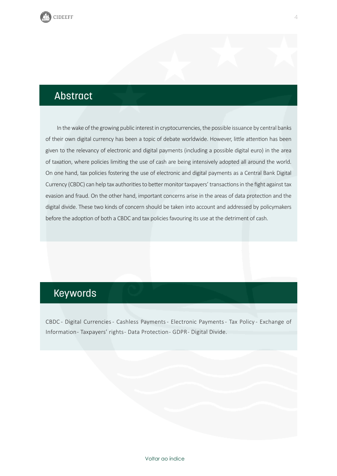<span id="page-4-0"></span>

## Abstract

In the wake of the growing public interest in cryptocurrencies, the possible issuance by central banks of their own digital currency has been a topic of debate worldwide. However, little attention has been given to the relevancy of electronic and digital payments (including a possible digital euro) in the area of taxation, where policies limiting the use of cash are being intensively adopted all around the world. On one hand, tax policies fostering the use of electronic and digital payments as a Central Bank Digital Currency (CBDC) can help tax authorities to better monitor taxpayers' transactions in the fight against tax evasion and fraud. On the other hand, important concerns arise in the areas of data protection and the digital divide. These two kinds of concern should be taken into account and addressed by policymakers before the adoption of both a CBDC and tax policies favouring its use at the detriment of cash.

## Keywords

CBDC - Digital Currencies - Cashless Payments - Electronic Payments - Tax Policy - Exchange of Information - Taxpayers' rights - Data Protection - GDPR - Digital Divide.

4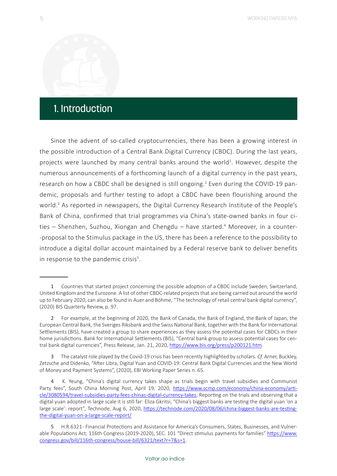## <span id="page-5-0"></span>1. Introduction

Since the advent of so-called cryptocurrencies, there has been a growing interest in the possible introduction of a Central Bank Digital Currency (CBDC). During the last years, projects were launched by many central banks around the world<sup>1</sup>. However, despite the numerous announcements of a forthcoming launch of a digital currency in the past years, research on how a CBDC shall be designed is still ongoing.<sup>2</sup> Even during the COVID-19 pandemic, proposals and further testing to adopt a CBDC have been flourishing around the world.<sup>3</sup> As reported in newspapers, the Digital Currency Research Institute of the People's Bank of China, confirmed that trial programmes via China's state-owned banks in four cities - Shenzhen, Suzhou, Xiongan and Chengdu - have started.<sup>4</sup> Moreover, in a counter--proposal to the Stimulus package in the US, there has been a reference to the possibility to introduce a digital dollar account maintained by a Federal reserve bank to deliver benefits in response to the pandemic crisis<sup>5</sup>.

<sup>1</sup> Countries that started project concerning the possible adoption of a CBDC include Sweden, Switzerland, United Kingdom and the Eurozone. A list of other CBDC-related projects that are being carried out around the world up to February 2020, can also be found in Auer and Böhme, "The technology of retail central bank digital currency", (2020) BIS Quarterly Review, p. 97.

<sup>2</sup> For example, at the beginning of 2020, the Bank of Canada, the Bank of England, the Bank of Japan, the European Central Bank, the Sveriges Riksbank and the Swiss National Bank, together with the Bank for International Settlements (BIS), have created a group to share experiences as they assess the potential cases for CBDCs in their home jurisdictions. Bank for International Settlements (BIS), "Central bank group to assess potential cases for central bank digital currencies", Press Release, Jan. 21, 2020, <https://www.bis.org/press/p200121.htm>.

<sup>3</sup> The catalyst role played by the Covid-19 crisis has been recently highlighted by scholars. *Cf.* Arner, Buckley, Zetzsche and Didenko, "After Libra, Digital Yuan and COVID-19: Central Bank Digital Currencies and the New World of Money and Payment Systems", (2020), EBI Working Paper Series n. 65.

<sup>4</sup> K. Yeung, "China's digital currency takes shape as trials begin with travel subsidies and Communist Party fees", South China Morning Post, April 19, 2020, [https://www.scmp.com/economy/china-economy/arti](https://www.scmp.com/economy/china-economy/article/3080594/travel-subsidies-party-fees-chinas-digital-currency-takes)[cle/3080594/travel-subsidies-party-fees-chinas-digital-currency-takes;](https://www.scmp.com/economy/china-economy/article/3080594/travel-subsidies-party-fees-chinas-digital-currency-takes) Reporting on the trials and observing that a digital yuan adopted in large scale it is still far: Eliza Gkritsi, "China's biggest banks are testing the digital yuan 'on a large scale': report", Technode, Aug 6, 2020, [https://technode.com/2020/08/06/china-biggest-banks-are-testing](https://technode.com/2020/08/06/china-biggest-banks-are-testing-the-digital-yuan-on-a-large-scale-report/)[the-digital-yuan-on-a-large-scale-report/](https://technode.com/2020/08/06/china-biggest-banks-are-testing-the-digital-yuan-on-a-large-scale-report/)

<sup>5</sup> H.R.6321 - Financial Protections and Assistance for America's Consumers, States, Businesses, and Vulnerable Populations Act, 116th Congress (2019-2020), SEC. 101 "Direct stimulus payments for families" [https://www.](https://www.congress.gov/bill/116th-congress/house-bill/6321/text?r=7&s=1) [congress.gov/bill/116th-congress/house-bill/6321/text?r=7&s=1](https://www.congress.gov/bill/116th-congress/house-bill/6321/text?r=7&s=1).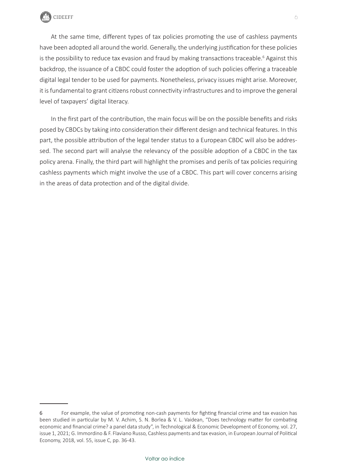

At the same time, different types of tax policies promoting the use of cashless payments have been adopted all around the world. Generally, the underlying justification for these policies is the possibility to reduce tax evasion and fraud by making transactions traceable.<sup>6</sup> Against this backdrop, the issuance of a CBDC could foster the adoption of such policies offering a traceable digital legal tender to be used for payments. Nonetheless, privacy issues might arise. Moreover, it is fundamental to grant citizens robust connectivity infrastructures and to improve the general level of taxpayers' digital literacy.

In the first part of the contribution, the main focus will be on the possible benefits and risks posed by CBDCs by taking into consideration their different design and technical features. In this part, the possible attribution of the legal tender status to a European CBDC will also be addressed. The second part will analyse the relevancy of the possible adoption of a CBDC in the tax policy arena. Finally, the third part will highlight the promises and perils of tax policies requiring cashless payments which might involve the use of a CBDC. This part will cover concerns arising in the areas of data protection and of the digital divide.

<sup>6</sup> For example, the value of promoting non-cash payments for fighting financial crime and tax evasion has been studied in particular by M. V. Achim, S. N. Borlea & V. L. Vaidean, "Does technology matter for combating economic and financial crime? a panel data study", in Technological & Economic Development of Economy, vol. 27, issue 1, 2021; G. Immordino & F. Flaviano Russo, Cashless payments and tax evasion, in European Journal of Political Economy, 2018, vol. 55, issue C, pp. 36-43.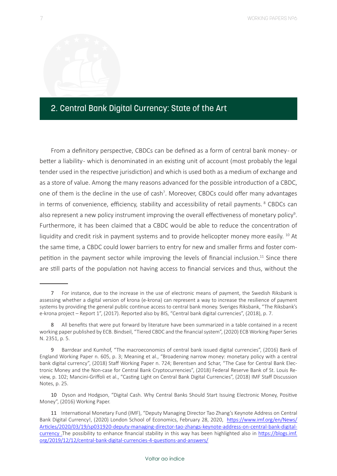#### <span id="page-7-0"></span>2. Central Bank Digital Currency: State of the Art

From a definitory perspective, CBDCs can be defined as a form of central bank money - or better a liability- which is denominated in an existing unit of account (most probably the legal tender used in the respective jurisdiction) and which is used both as a medium of exchange and as a store of value. Among the many reasons advanced for the possible introduction of a CBDC, one of them is the decline in the use of cash<sup>7</sup>. Moreover, CBDCs could offer many advantages in terms of convenience, efficiency, stability and accessibility of retail payments.<sup>8</sup> CBDCs can also represent a new policy instrument improving the overall effectiveness of monetary policy<sup>9</sup>. Furthermore, it has been claimed that a CBDC would be able to reduce the concentration of liquidity and credit risk in payment systems and to provide helicopter money more easily.  $^{10}$  At the same time, a CBDC could lower barriers to entry for new and smaller firms and foster competition in the payment sector while improving the levels of financial inclusion.<sup>11</sup> Since there are still parts of the population not having access to financial services and thus, without the

<sup>7</sup> For instance, due to the increase in the use of electronic means of payment, the Swedish Riksbank is assessing whether a digital version of krona (e-krona) can represent a way to increase the resilience of payment systems by providing the general public continue access to central bank money. Sveriges Riksbank, "The Riksbank's e-krona project – Report 1", (2017). Reported also by BIS, "Central bank digital currencies", (2018), p. 7.

<sup>8</sup> All benefits that were put forward by literature have been summarized in a table contained in a recent working paper published by ECB. Bindseil, "Tiered CBDC and the financial system", (2020) ECB Working Paper Series N. 2351, p. 5.

<sup>9</sup> Barrdear and Kumhof, "The macroeconomics of central bank issued digital currencies", (2016) Bank of England Working Paper n. 605, p. 3; Meaning et al., "Broadening narrow money: monetary policy with a central bank digital currency", (2018) Staff Working Paper n. 724; Berentsen and Schar, "The Case for Central Bank Electronic Money and the Non-case for Central Bank Cryptocurrencies", (2018) Federal Reserve Bank of St. Louis Review, p. 102; Mancini-Griffoli et al., "Casting Light on Central Bank Digital Currencies", (2018) IMF Staff Discussion Notes, p. 25.

<sup>10</sup> Dyson and Hodgson, "Digital Cash. Why Central Banks Should Start Issuing Electronic Money, Positive Money", (2016) Working Paper.

<sup>11</sup> International Monetary Fund (IMF), "Deputy Managing Director Tao Zhang's Keynote Address on Central Bank Digital Currency!, (2020) London School of Economics, February 28, 2020, [https://www.imf.org/en/News/](https://www.imf.org/en/News/Articles/2020/03/19/sp031920-deputy-managing-director-tao-zhangs-keynote-address-on-central-bank-digital-currency) [Articles/2020/03/19/sp031920-deputy-managing-director-tao-zhangs-keynote-address-on-central-bank-digital](https://www.imf.org/en/News/Articles/2020/03/19/sp031920-deputy-managing-director-tao-zhangs-keynote-address-on-central-bank-digital-currency)[currency](https://www.imf.org/en/News/Articles/2020/03/19/sp031920-deputy-managing-director-tao-zhangs-keynote-address-on-central-bank-digital-currency) .The possibility to enhance financial stability in this way has been highlighted also in [https://blogs.imf.](https://blogs.imf.org/2019/12/12/central-bank-digital-currencies-4-questions-and-answers/) [org/2019/12/12/central-bank-digital-currencies-4-questions-and-answers/](https://blogs.imf.org/2019/12/12/central-bank-digital-currencies-4-questions-and-answers/)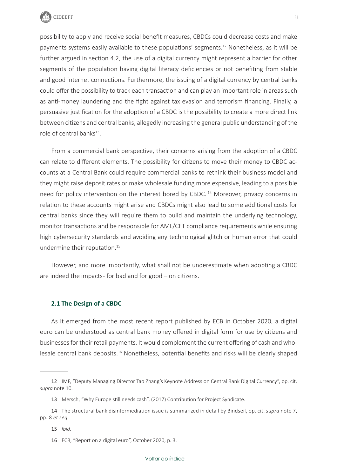

possibility to apply and receive social benefit measures, CBDCs could decrease costs and make payments systems easily available to these populations' segments.<sup>12</sup> Nonetheless, as it will be further argued in section 4.2, the use of a digital currency might represent a barrier for other segments of the population having digital literacy deficiencies or not benefiting from stable and good internet connections. Furthermore, the issuing of a digital currency by central banks could offer the possibility to track each transaction and can play an important role in areas such as anti-money laundering and the fight against tax evasion and terrorism financing. Finally, a persuasive justification for the adoption of a CBDC is the possibility to create a more direct link between citizens and central banks, allegedly increasing the general public understanding of the role of central banks<sup>13</sup>.

From a commercial bank perspective, their concerns arising from the adoption of a CBDC can relate to different elements. The possibility for citizens to move their money to CBDC accounts at a Central Bank could require commercial banks to rethink their business model and they might raise deposit rates or make wholesale funding more expensive, leading to a possible need for policy intervention on the interest bored by CBDC.<sup>14</sup> Moreover, privacy concerns in relation to these accounts might arise and CBDCs might also lead to some additional costs for central banks since they will require them to build and maintain the underlying technology, monitor transactions and be responsible for AML/CFT compliance requirements while ensuring high cybersecurity standards and avoiding any technological glitch or human error that could undermine their reputation.<sup>15</sup>

However, and more importantly, what shall not be underestimate when adopting a CBDC are indeed the impacts - for bad and for good – on citizens.

#### **2.1 The Design of a CBDC**

As it emerged from the most recent report published by ECB in October 2020, a digital euro can be understood as central bank money offered in digital form for use by citizens and businesses for their retail payments. It would complement the current offering of cash and wholesale central bank deposits.<sup>16</sup> Nonetheless, potential benefits and risks will be clearly shaped

<sup>12</sup> IMF, "Deputy Managing Director Tao Zhang's Keynote Address on Central Bank Digital Currency", op. cit. *supra* note 10*.*

<sup>13</sup> Mersch, "Why Europe still needs cash", (2017) Contribution for Project Syndicate.

<sup>14</sup> The structural bank disintermediation issue is summarized in detail by Bindseil, op. cit. *supra* note 7, pp. 8 *et seq.*

<sup>15</sup> *Ibid.*

<sup>16</sup> ECB, "Report on a digital euro", October 2020, p. 3.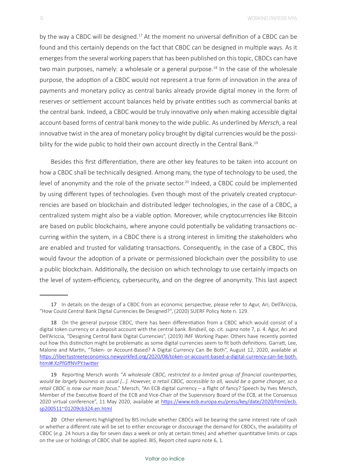9 WORKING PAPERS Nº6

by the way a CBDC will be designed.<sup>17</sup> At the moment no universal definition of a CBDC can be found and this certainly depends on the fact that CBDC can be designed in multiple ways. As it emerges from the several working papers that has been published on this topic, CBDCs can have two main purposes, namely: a wholesale or a general purpose.<sup>18</sup> In the case of the wholesale purpose, the adoption of a CBDC would not represent a true form of innovation in the area of payments and monetary policy as central banks already provide digital money in the form of reserves or settlement account balances held by private entities such as commercial banks at the central bank. Indeed, a CBDC would be truly innovative only when making accessible digital account-based forms of central bank money to the wide public. As underlined by *Mersch*, a real innovative twist in the area of monetary policy brought by digital currencies would be the possibility for the wide public to hold their own account directly in the Central Bank.<sup>19</sup>

Besides this first differentiation, there are other key features to be taken into account on how a CBDC shall be technically designed. Among many, the type of technology to be used, the level of anonymity and the role of the private sector.<sup>20</sup> Indeed, a CBDC could be implemented by using different types of technologies. Even though most of the privately created cryptocurrencies are based on blockchain and distributed ledger technologies, in the case of a CBDC, a centralized system might also be a viable option. Moreover, while cryptocurrencies like Bitcoin are based on public blockchains, where anyone could potentially be validating transactions occurring within the system, in a CBDC there is a strong interest in limiting the stakeholders who are enabled and trusted for validating transactions. Consequently, in the case of a CBDC, this would favour the adoption of a private or permissioned blockchain over the possibility to use a public blockchain. Additionally, the decision on which technology to use certainly impacts on the level of system-efficiency, cybersecurity, and on the degree of anonymity. This last aspect

<sup>17</sup> In details on the design of a CBDC from an economic perspective, please refer to Agur, Ari, Dell'Ariccia, "How Could Central Bank Digital Currencies Be Designed?", (2020) SUERF Policy Note n. 129.

<sup>18</sup> On the general purpose CBDC, there has been differentiation from a CBDC which would consist of a digital token currency or a deposit account with the central bank. Bindseil, op. cit. *supra* note 7, p. 4. Agur, Ari and Dell'Ariccia, "Designing Central Bank Digital Currencies", (2019) IMF Working Paper. Others have recently pointed out how this distinction might be problematic as some digital currencies seem to fit both definitions. Garratt, Lee, Malone and Martin, "Token- or Account-Based? A Digital Currency Can Be Both", August 12, 2020, available at https://libertystreeteconomics.newyorkfed.org/2020/08/token-or-account-based-a-digital-currency-can-be-both. html#.XzPfGffNVPY.twitter

<sup>19</sup> Reporting Mersch words "*A wholesale CBDC, restricted to a limited group of financial counterparties, would be largely business as usual […]. However, a retail CBDC, accessible to all, would be a game changer, so a retail CBDC is now our main focus*." Mersch, "An ECB digital currency – a flight of fancy? Speech by Yves Mersch, Member of the Executive Board of the ECB and Vice-Chair of the Supervisory Board of the ECB, at the Consensus 2020 virtual conference", 11 May 2020, available at [https://www.ecb.europa.eu/press/key/date/2020/html/ecb.](https://www.ecb.europa.eu/press/key/date/2020/html/ecb.sp200511~01209cb324.en.html) [sp200511~01209cb324.en.html](https://www.ecb.europa.eu/press/key/date/2020/html/ecb.sp200511~01209cb324.en.html)

<sup>20</sup> Other elements highlighted by BIS include whether CBDCs will be bearing the same interest rate of cash or whether a different rate will be set to either encourage or discourage the demand for CBDCs, the availability of CBDC (*e.g.* 24 hours a day for seven days a week or only at certain times) and whether quantitative limits or caps on the use or holdings of CBDC shall be applied. BIS, Report cited *supra* note 6, 1.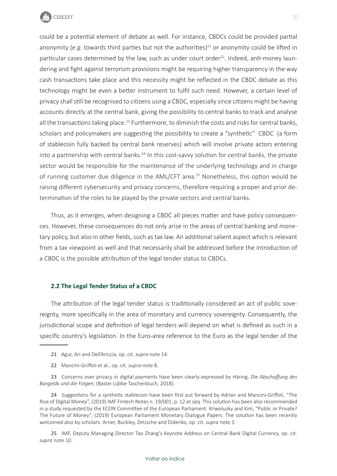

could be a potential element of debate as well. For instance, CBDCs could be provided partial anonymity (*e.g.* towards third parties but not the authorities)<sup>21</sup> or anonymity could be lifted in particular cases determined by the law, such as under court order<sup>22</sup>. Indeed, anti-money laundering and fight against terrorism provisions might be requiring higher transparency in the way cash transactions take place and this necessity might be reflected in the CBDC debate as this technology might be even a better instrument to fulfil such need. However, a certain level of privacy shall still be recognised to citizens using a CBDC, especially since citizens might be having accounts directly at the central bank, giving the possibility to central banks to track and analyse all the transactions taking place.<sup>23</sup> Furthermore, to diminish the costs and risks for central banks, scholars and policymakers are suggesting the possibility to create a "synthetic" CBDC (a form of stablecoin fully backed by central bank reserves) which will involve private actors entering into a partnership with central banks.<sup>24</sup> In this cost-savvy solution for central banks, the private sector would be responsible for the maintenance of the underlying technology and in charge of running customer due diligence in the AML/CFT area.<sup>25</sup> Nonetheless, this option would be raising different cybersecurity and privacy concerns, therefore requiring a proper and prior determination of the roles to be played by the private sectors and central banks.

Thus, as it emerges, when designing a CBDC all pieces matter and have policy consequences. However, these consequences do not only arise in the areas of central banking and monetary policy, but also in other fields, such as tax law. An additional salient aspect which is relevant from a tax viewpoint as well and that necessarily shall be addressed before the introduction of a CBDC is the possible attribution of the legal tender status to CBDCs.

#### **2.2 The Legal Tender Status of a CBDC**

The attribution of the legal tender status is traditionally considered an act of public sovereignty, more specifically in the area of monetary and currency sovereignty. Consequently, the jurisdictional scope and definition of legal tenders will depend on what is defined as such in a specific country's legislation. In the Euro-area reference to the Euro as the legal tender of the

22 Mancini-Griffoli et al., op. cit. *supra* note 8.

23 Concerns over privacy in digital payments have been clearly expressed by Häring, *Die Abschaffung des Bargelds und die Folgen*, (Bastei Lübbe Taschenbuch, 2018).

25 IMF, Deputy Managing Director Tao Zhang's Keynote Address on Central Bank Digital Currency, op. cit. *supra* note 10.

<sup>21</sup> Agur, Ari and Dell'Ariccia, op. cit. *supra* note 14.

<sup>24</sup> Suggestions for a synthetic stablecoin have been first put forward by Adrian and Mancini-Griffoli, "The Rise of Digital Money", (2019) IMF Fintech Notes n. 19/001, p. 12 et seq. This solution has been also recommended in a study requested by the ECON Committee of the European Parliament. Kriwoluzky and Kim, "Public or Private? The Future of Money", (2019) European Parliament Monetary Dialogue Papers. The solution has been recently welcomed also by scholars: Arner, Buckley, Zetzsche and Didenko, op. cit. *supra* note 3.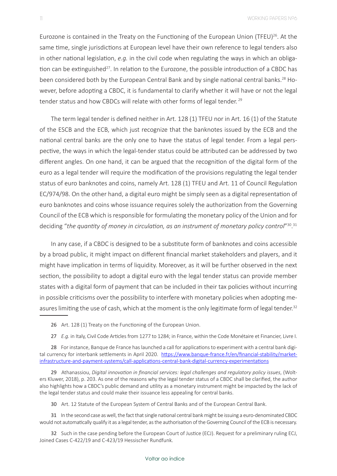Eurozone is contained in the Treaty on the Functioning of the European Union (TFEU)<sup>26</sup>. At the same time, single jurisdictions at European level have their own reference to legal tenders also in other national legislation, *e.g.* in the civil code when regulating the ways in which an obligation can be extinguished<sup>27</sup>. In relation to the Eurozone, the possible introduction of a CBDC has been considered both by the European Central Bank and by single national central banks.<sup>28</sup> However, before adopting a CBDC, it is fundamental to clarify whether it will have or not the legal tender status and how CBDCs will relate with other forms of legal tender. <sup>29</sup>

The term legal tender is defined neither in Art. 128 (1) TFEU nor in Art. 16 (1) of the Statute of the ESCB and the ECB, which just recognize that the banknotes issued by the ECB and the national central banks are the only one to have the status of legal tender. From a legal perspective, the ways in which the legal-tender status could be attributed can be addressed by two different angles. On one hand, it can be argued that the recognition of the digital form of the euro as a legal tender will require the modification of the provisions regulating the legal tender status of euro banknotes and coins, namely Art. 128 (1) TFEU and Art. 11 of Council Regulation EC/974/98. On the other hand, a digital euro might be simply seen as a digital representation of euro banknotes and coins whose issuance requires solely the authorization from the Governing Council of the ECB which is responsible for formulating the monetary policy of the Union and for deciding "the quantity of money in circulation, as an instrument of monetary policy control"<sup>30</sup>.<sup>31</sup>

In any case, if a CBDC is designed to be a substitute form of banknotes and coins accessible by a broad public, it might impact on different financial market stakeholders and players, and it might have implication in terms of liquidity. Moreover, as it will be further observed in the next section, the possibility to adopt a digital euro with the legal tender status can provide member states with a digital form of payment that can be included in their tax policies without incurring in possible criticisms over the possibility to interfere with monetary policies when adopting measures limiting the use of cash, which at the moment is the only legitimate form of legal tender.<sup>32</sup>

- 26 Art. 128 (1) Treaty on the Functioning of the European Union.
- 27 *E.g.* in Italy, Civil Code Articles from 1277 to 1284; in France, within the Code Monétaire et Financier, Livre I.

28 For instance, Banque de France has launched a call for applications to experiment with a central bank digital currency for interbank settlements in April 2020. [https://www.banque-france.fr/en/financial-stability/market](https://www.banque-france.fr/en/financial-stability/market-infrastructure-and-payment-systems/call-applications-central-bank-digital-currency-experimentations)[infrastructure-and-payment-systems/call-applications-central-bank-digital-currency-experimentations](https://www.banque-france.fr/en/financial-stability/market-infrastructure-and-payment-systems/call-applications-central-bank-digital-currency-experimentations)

29 Athanassiou, *Digital innovation in financial services: legal challenges and regulatory policy issues*, (Wolters Kluwer, 2018), p. 203. As one of the reasons why the legal tender status of a CBDC shall be clarified, the author also highlights how a CBDC's public demand and utility as a monetary instrument might be impacted by the lack of the legal tender status and could make their issuance less appealing for central banks.

30 Art. 12 Statute of the European System of Central Banks and of the European Central Bank.

31 In the second case as well, the fact that single national central bank might be issuing a euro-denominated CBDC would not automatically qualify it as a legal tender, as the authorisation of the Governing Council of the ECB is necessary.

32 Such in the case pending before the European Court of Justice (ECJ). Request for a preliminary ruling ECJ, Joined Cases C-422/19 and C-423/19 Hessischer Rundfunk.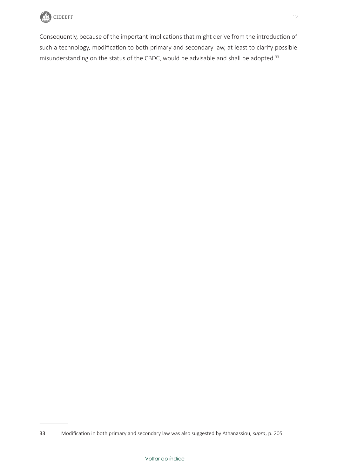

Consequently, because of the important implications that might derive from the introduction of such a technology, modification to both primary and secondary law, at least to clarify possible misunderstanding on the status of the CBDC, would be advisable and shall be adopted.<sup>33</sup>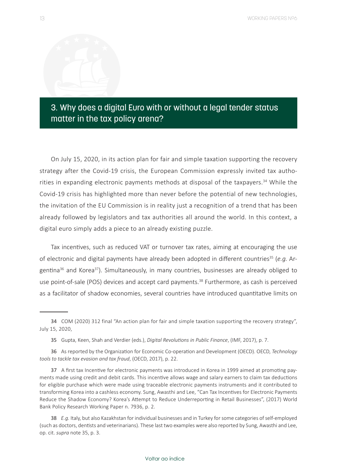## <span id="page-13-0"></span>3. Why does a digital Euro with or without a legal tender status matter in the tax policy arena?

On July 15, 2020, in its action plan for fair and simple taxation supporting the recovery strategy after the Covid-19 crisis, the European Commission expressly invited tax authorities in expanding electronic payments methods at disposal of the taxpayers.<sup>34</sup> While the Covid-19 crisis has highlighted more than never before the potential of new technologies, the invitation of the EU Commission is in reality just a recognition of a trend that has been already followed by legislators and tax authorities all around the world. In this context, a digital euro simply adds a piece to an already existing puzzle.

Tax incentives, such as reduced VAT or turnover tax rates, aiming at encouraging the use of electronic and digital payments have already been adopted in different countries<sup>35</sup> (e.g. Argentina<sup>36</sup> and Korea<sup>37</sup>). Simultaneously, in many countries, businesses are already obliged to use point-of-sale (POS) devices and accept card payments.38 Furthermore, as cash is perceived as a facilitator of shadow economies, several countries have introduced quantitative limits on

<sup>34</sup> COM (2020) 312 final "An action plan for fair and simple taxation supporting the recovery strategy", July 15, 2020,

<sup>35</sup> Gupta, Keen, Shah and Verdier (eds.), *Digital Revolutions in Public Finance*, (IMF, 2017), p. 7.

<sup>36</sup> As reported by the Organization for Economic Co-operation and Development (OECD). OECD, *Technology tools to tackle tax evasion and tax fraud*, (OECD, 2017), p. 22.

<sup>37</sup> A first tax Incentive for electronic payments was introduced in Korea in 1999 aimed at promoting payments made using credit and debit cards. This incentive allows wage and salary earners to claim tax deductions for eligible purchase which were made using traceable electronic payments instruments and it contributed to transforming Korea into a cashless economy. Sung, Awasthi and Lee, "Can Tax Incentives for Electronic Payments Reduce the Shadow Economy? Korea's Attempt to Reduce Underreporting in Retail Businesses", (2017) World Bank Policy Research Working Paper n. 7936, p. 2.

<sup>38</sup> *E.g.* Italy, but also Kazakhstan for individual businesses and in Turkey for some categories of self-employed (such as doctors, dentists and veterinarians). These last two examples were also reported by Sung, Awasthi and Lee, op. cit. *supra* note 35, p. 3.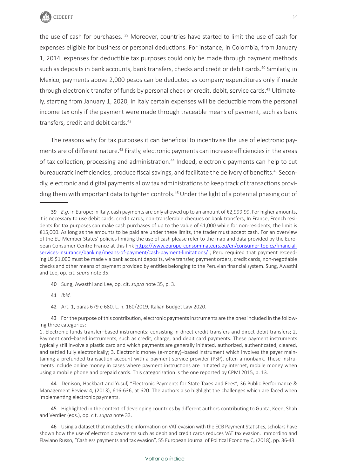

the use of cash for purchases.<sup>39</sup> Moreover, countries have started to limit the use of cash for expenses eligible for business or personal deductions. For instance, in Colombia, from January 1, 2014, expenses for deductible tax purposes could only be made through payment methods such as deposits in bank accounts, bank transfers, checks and credit or debit cards.<sup>40</sup> Similarly, in Mexico, payments above 2,000 pesos can be deducted as company expenditures only if made through electronic transfer of funds by personal check or credit, debit, service cards.<sup>41</sup> Ultimately, starting from January 1, 2020, in Italy certain expenses will be deductible from the personal income tax only if the payment were made through traceable means of payment, such as bank transfers, credit and debit cards.<sup>42</sup>

The reasons why for tax purposes it can beneficial to incentivise the use of electronic payments are of different nature.<sup>43</sup> Firstly, electronic payments can increase efficiencies in the areas of tax collection, processing and administration.<sup>44</sup> Indeed, electronic payments can help to cut bureaucratic inefficiencies, produce fiscal savings, and facilitate the delivery of benefits.<sup>45</sup> Secondly, electronic and digital payments allow tax administrations to keep track of transactions providing them with important data to tighten controls.<sup>46</sup> Under the light of a potential phasing out of

40 Sung, Awasthi and Lee, op. cit. *supra* note 35, p. 3.

41 *Ibid.*

42 Art. 1, paras 679 e 680, L. n. 160/2019, Italian Budget Law 2020.

43 For the purpose of this contribution, electronic payments instruments are the ones included in the following three categories:

44 Denison, Hackbart and Yusuf, "Electronic Payments for State Taxes and Fees", 36 Public Performance & Management Review 4, (2013), 616-636, at 620. The authors also highlight the challenges which are faced when implementing electronic payments.

45 Highlighted in the context of developing countries by different authors contributing to Gupta, Keen, Shah and Verdier (eds.), op. cit. *supra* note 33.

46 Using a dataset that matches the information on VAT evasion with the ECB Payment Statistics, scholars have shown how the use of electronic payments such as debit and credit cards reduces VAT tax evasion. Immordino and Flaviano Russo, "Cashless payments and tax evasion", 55 European Journal of Political Economy C, (2018), pp. 36-43.

<sup>39</sup> *E.g.* in Europe: in Italy, cash payments are only allowed up to an amount of €2,999.99. For higher amounts, it is necessary to use debit cards, credit cards, non-transferable cheques or bank transfers; In France, French residents for tax purposes can make cash purchases of up to the value of €1,000 while for non-residents, the limit is €15,000. As long as the amounts to be paid are under these limits, the trader must accept cash. For an overview of the EU Member States' policies limiting the use of cash please refer to the map and data provided by the European Consumer Centre France at this link [https://www.europe-consommateurs.eu/en/consumer-topics/financial](https://www.europe-consommateurs.eu/en/consumer-topics/financial-services-insurance/banking/means-of-payment/cash-payment-limitations/)[services-insurance/banking/means-of-payment/cash-payment-limitations/](https://www.europe-consommateurs.eu/en/consumer-topics/financial-services-insurance/banking/means-of-payment/cash-payment-limitations/) ; Peru required that payment exceeding US \$1,000 must be made via bank account deposits, wire transfer, payment orders, credit cards, non-negotiable checks and other means of payment provided by entities belonging to the Peruvian financial system. Sung, Awasthi and Lee, op. cit. *supra* note 35.

<sup>1.</sup> Electronic funds transfer–based instruments: consisting in direct credit transfers and direct debit transfers; 2. Payment card–based instruments, such as credit, charge, and debit card payments. These payment instruments typically still involve a plastic card and which payments are generally initiated, authorized, authenticated, cleared, and settled fully electronically; 3. Electronic money (e-money)–based instrument which involves the payer maintaining a prefunded transaction account with a payment service provider (PSP), often a nonbank. These instruments include online money in cases where payment instructions are initiated by internet, mobile money when using a mobile phone and prepaid cards. This categorization is the one reported by CPMI 2015, p. 13.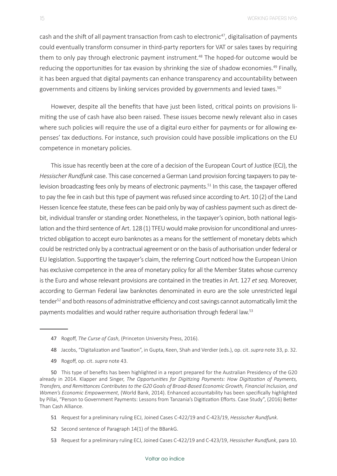cash and the shift of all payment transaction from cash to electronic<sup>47</sup>, digitalisation of payments could eventually transform consumer in third-party reporters for VAT or sales taxes by requiring them to only pay through electronic payment instrument.<sup>48</sup> The hoped-for outcome would be reducing the opportunities for tax evasion by shrinking the size of shadow economies.<sup>49</sup> Finally, it has been argued that digital payments can enhance transparency and accountability between governments and citizens by linking services provided by governments and levied taxes.50

However, despite all the benefits that have just been listed, critical points on provisions limiting the use of cash have also been raised. These issues become newly relevant also in cases where such policies will require the use of a digital euro either for payments or for allowing expenses' tax deductions. For instance, such provision could have possible implications on the EU competence in monetary policies.

This issue has recently been at the core of a decision of the European Court of Justice (ECJ), the *Hessischer Rundfunk* case. This case concerned a German Land provision forcing taxpayers to pay television broadcasting fees only by means of electronic payments.<sup>51</sup> In this case, the taxpayer offered to pay the fee in cash but this type of payment was refused since according to Art. 10 (2) of the Land Hessen licence fee statute, these fees can be paid only by way of cashless payment such as direct debit, individual transfer or standing order. Nonetheless, in the taxpayer's opinion, both national legislation and the third sentence of Art. 128 (1) TFEU would make provision for unconditional and unrestricted obligation to accept euro banknotes as a means for the settlement of monetary debts which could be restricted only by a contractual agreement or on the basis of authorisation under federal or EU legislation. Supporting the taxpayer's claim, the referring Court noticed how the European Union has exclusive competence in the area of monetary policy for all the Member States whose currency is the Euro and whose relevant provisions are contained in the treaties in Art. 127 *et seq*. Moreover, according to German Federal law banknotes denominated in euro are the sole unrestricted legal tender<sup>52</sup> and both reasons of administrative efficiency and cost savings cannot automatically limit the payments modalities and would rather require authorisation through federal law.<sup>53</sup>

50 This type of benefits has been highlighted in a report prepared for the Australian Presidency of the G20 already in 2014. Klapper and Singer, *The Opportunities for Digitizing Payments: How Digitization of Payments, Transfers, and Remittances Contributes to the G20 Goals of Broad-Based Economic Growth, Financial Inclusion, and Women's Economic Empowerment*, (World Bank, 2014). Enhanced accountability has been specifically highlighted by Pillai, "Person to Government Payments: Lessons from Tanzania's Digitization Efforts. Case Study", (2016) Better Than Cash Alliance.

51 Request for a preliminary ruling ECJ, Joined Cases C-422/19 and C-423/19, *Hessischer Rundfunk*.

52 Second sentence of Paragraph 14(1) of the BBankG.

53 Request for a preliminary ruling ECJ, Joined Cases C-422/19 and C-423/19, *Hessischer Rundfunk*, para 10.

<sup>47</sup> Rogoff, *The Curse of Cash*, (Princeton University Press, 2016).

<sup>48</sup> Jacobs, "Digitalization and Taxation", in Gupta, Keen, Shah and Verdier (eds.), op. cit. *supra* note 33, p. 32.

<sup>49</sup> Rogoff, op. cit. *supra* note 43.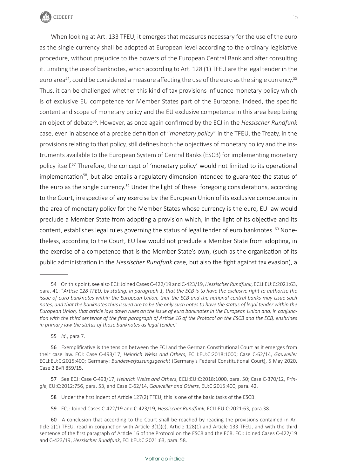

When looking at Art. 133 TFEU, it emerges that measures necessary for the use of the euro as the single currency shall be adopted at European level according to the ordinary legislative procedure, without prejudice to the powers of the European Central Bank and after consulting it. Limiting the use of banknotes, which according to Art. 128 (1) TFEU are the legal tender in the euro area<sup>54</sup>, could be considered a measure affecting the use of the euro as the single currency.<sup>55</sup> Thus, it can be challenged whether this kind of tax provisions influence monetary policy which is of exclusive EU competence for Member States part of the Eurozone. Indeed, the specific content and scope of monetary policy and the EU exclusive competence in this area keep being an object of debate<sup>56</sup>. However, as once again confirmed by the ECJ in the *Hessischer Rundfunk* case, even in absence of a precise definition of "*monetary policy*" in the TFEU, the Treaty, in the provisions relating to that policy, still defines both the objectives of monetary policy and the instruments available to the European System of Central Banks (ESCB) for implementing monetary policy itself.<sup>57</sup> Therefore, the concept of 'monetary policy' would not limited to its operational implementation<sup>58</sup>, but also entails a regulatory dimension intended to guarantee the status of the euro as the single currency.<sup>59</sup> Under the light of these foregoing considerations, according to the Court, irrespective of any exercise by the European Union of its exclusive competence in the area of monetary policy for the Member States whose currency is the euro, EU law would preclude a Member State from adopting a provision which, in the light of its objective and its content, establishes legal rules governing the status of legal tender of euro banknotes. <sup>60</sup> Nonetheless, according to the Court, EU law would not preclude a Member State from adopting, in the exercise of a competence that is the Member State's own, (such as the organisation of its public administration in the *Hessischer Rundfunk* case, but also the fight against tax evasion), a

55 *Id.*, para 7.

57 See ECJ: Case C-493/17, *Heinrich Weiss and Others*, ECLI:EU:C:2018:1000, para. 50; Case C-370/12, *Pringle*, EU:C:2012:756, para. 53, and Case C-62/14, G*auweiler and Others*, EU:C:2015:400, para. 42.

58 Under the first indent of Article 127(2) TFEU, this is one of the basic tasks of the ESCB.

59 ECJ: Joined Cases C-422/19 and C-423/19, *Hessischer Rundfunk*, ECLI:EU:C:2021:63, para.38.

<sup>54</sup> On this point, see also ECJ: Joined Cases C-422/19 and C-423/19, *Hessischer Rundfunk*, ECLI:EU:C:2021:63, para. 41: "*Article 128 TFEU, by stating, in paragraph 1, that the ECB is to have the exclusive right to authorise the issue of euro banknotes within the European Union, that the ECB and the national central banks may issue such notes, and that the banknotes thus issued are to be the only such notes to have the status of legal tender within the European Union, that article lays down rules on the issue of euro banknotes in the European Union and, in conjunction with the third sentence of the first paragraph of Article 16 of the Protocol on the ESCB and the ECB, enshrines in primary law the status of those banknotes as legal tender.*"

<sup>56</sup> Exemplificative is the tension between the ECJ and the German Constitutional Court as it emerges from their case law. ECJ: Case C-493/17, *Heinrich Weiss and Others*, ECLI:EU:C:2018:1000; Case C-62/14, *Gauweiler*  ECLI:EU:C:2015:400; Germany: *Bundesverfassungsgericht* (Germany's Federal Constitutional Court), 5 May 2020, Case 2 BvR 859/15.

<sup>60</sup> A conclusion that according to the Court shall be reached by reading the provisions contained in Article 2(1) TFEU, read in conjunction with Article 3(1)(c), Article 128(1) and Article 133 TFEU, and with the third sentence of the first paragraph of Article 16 of the Protocol on the ESCB and the ECB. ECJ: Joined Cases C-422/19 and C-423/19, *Hessischer Rundfunk*, ECLI:EU:C:2021:63, para. 58.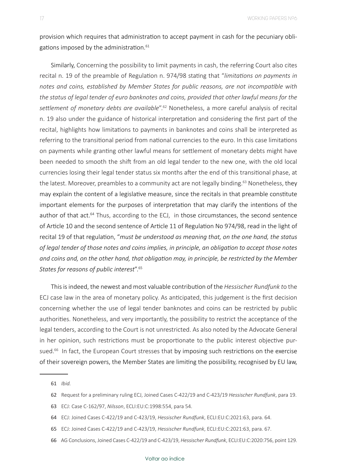provision which requires that administration to accept payment in cash for the pecuniary obligations imposed by the administration. $61$ 

Similarly, Concerning the possibility to limit payments in cash, the referring Court also cites recital n. 19 of the preamble of Regulation n. 974/98 stating that "*limitations on payments in notes and coins, established by Member States for public reasons, are not incompatible with the status of legal tender of euro banknotes and coins, provided that other lawful means for the settlement of monetary debts are available*".<sup>62</sup> Nonetheless, a more careful analysis of recital n. 19 also under the guidance of historical interpretation and considering the first part of the recital, highlights how limitations to payments in banknotes and coins shall be interpreted as referring to the transitional period from national currencies to the euro. In this case limitations on payments while granting other lawful means for settlement of monetary debts might have been needed to smooth the shift from an old legal tender to the new one, with the old local currencies losing their legal tender status six months after the end of this transitional phase, at the latest. Moreover, preambles to a community act are not legally binding.<sup>63</sup> Nonetheless, they may explain the content of a legislative measure, since the recitals in that preamble constitute important elements for the purposes of interpretation that may clarify the intentions of the author of that act.<sup>64</sup> Thus, according to the ECJ, in those circumstances, the second sentence of Article 10 and the second sentence of Article 11 of Regulation No 974/98, read in the light of recital 19 of that regulation, "*must be understood as meaning that, on the one hand, the status of legal tender of those notes and coins implies, in principle, an obligation to accept those notes and coins and, on the other hand, that obligation may, in principle, be restricted by the Member States for reasons of public interest*".<sup>65</sup>

This is indeed, the newest and most valuable contribution of the *Hessischer Rundfunk t*o the ECJ case law in the area of monetary policy. As anticipated, this judgement is the first decision concerning whether the use of legal tender banknotes and coins can be restricted by public authorities. Nonetheless, and very importantly, the possibility to restrict the acceptance of the legal tenders, according to the Court is not unrestricted. As also noted by the Advocate General in her opinion, such restrictions must be proportionate to the public interest objective pursued.<sup>66</sup> In fact, the European Court stresses that by imposing such restrictions on the exercise of their sovereign powers, the Member States are limiting the possibility, recognised by EU law,

<sup>61</sup> *Ibid.*

<sup>62</sup> Request for a preliminary ruling ECJ, Joined Cases C-422/19 and C-423/19 *Hessischer Rundfunk*, para 19.

<sup>63</sup> ECJ: Case C-162/97, *Nilsson*, ECLI:EU:C:1998:554, para 54.

<sup>64</sup> ECJ: Joined Cases C-422/19 and C-423/19, *Hessischer Rundfunk*, ECLI:EU:C:2021:63, para. 64.

<sup>65</sup> ECJ: Joined Cases C-422/19 and C-423/19, *Hessischer Rundfunk*, ECLI:EU:C:2021:63, para. 67.

<sup>66</sup> AG Conclusions, Joined Cases C-422/19 and C-423/19, *Hessischer Rundfunk*, ECLI:EU:C:2020:756, point 129.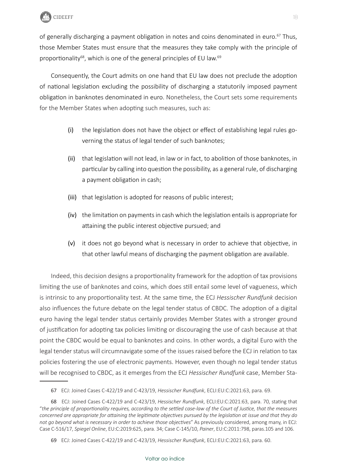

of generally discharging a payment obligation in notes and coins denominated in euro.<sup>67</sup> Thus, those Member States must ensure that the measures they take comply with the principle of proportionality<sup>68</sup>, which is one of the general principles of EU law.<sup>69</sup>

Consequently, the Court admits on one hand that EU law does not preclude the adoption of national legislation excluding the possibility of discharging a statutorily imposed payment obligation in banknotes denominated in euro. Nonetheless, the Court sets some requirements for the Member States when adopting such measures, such as:

- (i) the legislation does not have the object or effect of establishing legal rules governing the status of legal tender of such banknotes;
- (ii) that legislation will not lead, in law or in fact, to abolition of those banknotes, in particular by calling into question the possibility, as a general rule, of discharging a payment obligation in cash;
- (iii) that legislation is adopted for reasons of public interest;
- (iv) the limitation on payments in cash which the legislation entails is appropriate for attaining the public interest objective pursued; and
- (v) it does not go beyond what is necessary in order to achieve that objective, in that other lawful means of discharging the payment obligation are available.

Indeed, this decision designs a proportionality framework for the adoption of tax provisions limiting the use of banknotes and coins, which does still entail some level of vagueness, which is intrinsic to any proportionality test. At the same time, the ECJ *Hessischer Rundfunk* decision also influences the future debate on the legal tender status of CBDC. The adoption of a digital euro having the legal tender status certainly provides Member States with a stronger ground of justification for adopting tax policies limiting or discouraging the use of cash because at that point the CBDC would be equal to banknotes and coins. In other words, a digital Euro with the legal tender status will circumnavigate some of the issues raised before the ECJ in relation to tax policies fostering the use of electronic payments. However, even though no legal tender status will be recognised to CBDC, as it emerges from the ECJ *Hessischer Rundfunk* case, Member Sta-

<sup>67</sup> ECJ: Joined Cases C-422/19 and C-423/19, *Hessischer Rundfunk*, ECLI:EU:C:2021:63, para. 69.

<sup>68</sup> ECJ: Joined Cases C-422/19 and C-423/19, *Hessischer Rundfunk*, ECLI:EU:C:2021:63, para. 70, stating that "*the principle of proportionality requires, according to the settled case-law of the Court of Justice, that the measures concerned are appropriate for attaining the legitimate objectives pursued by the legislation at issue and that they do not go beyond what is necessary in order to achieve those objectives*" As previously considered, among many, in ECJ: Case C-516/17, *Spiegel Online*, EU:C:2019:625, para. 34; Case C-145/10, *Painer*, EU:C:2011:798, paras.105 and 106.

<sup>69</sup> ECJ: Joined Cases C-422/19 and C-423/19, *Hessischer Rundfunk*, ECLI:EU:C:2021:63, para. 60.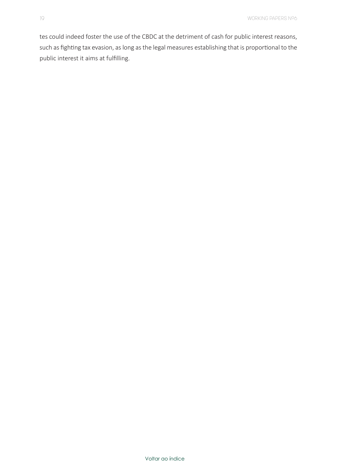tes could indeed foster the use of the CBDC at the detriment of cash for public interest reasons, such as fighting tax evasion, as long as the legal measures establishing that is proportional to the public interest it aims at fulfilling.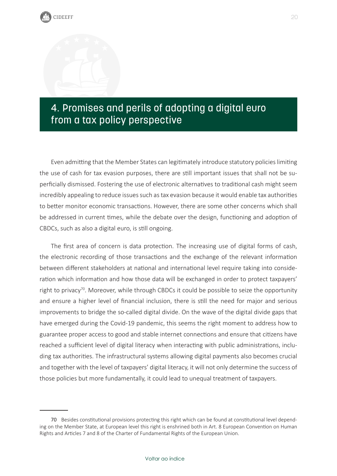## <span id="page-20-0"></span>4. Promises and perils of adopting a digital euro from a tax policy perspective

Even admitting that the Member States can legitimately introduce statutory policies limiting the use of cash for tax evasion purposes, there are still important issues that shall not be superficially dismissed. Fostering the use of electronic alternatives to traditional cash might seem incredibly appealing to reduce issues such as tax evasion because it would enable tax authorities to better monitor economic transactions. However, there are some other concerns which shall be addressed in current times, while the debate over the design, functioning and adoption of CBDCs, such as also a digital euro, is still ongoing.

The first area of concern is data protection. The increasing use of digital forms of cash, the electronic recording of those transactions and the exchange of the relevant information between different stakeholders at national and international level require taking into consideration which information and how those data will be exchanged in order to protect taxpayers' right to privacy<sup>70</sup>. Moreover, while through CBDCs it could be possible to seize the opportunity and ensure a higher level of financial inclusion, there is still the need for major and serious improvements to bridge the so-called digital divide. On the wave of the digital divide gaps that have emerged during the Covid-19 pandemic, this seems the right moment to address how to guarantee proper access to good and stable internet connections and ensure that citizens have reached a sufficient level of digital literacy when interacting with public administrations, including tax authorities. The infrastructural systems allowing digital payments also becomes crucial and together with the level of taxpayers' digital literacy, it will not only determine the success of those policies but more fundamentally, it could lead to unequal treatment of taxpayers.

<sup>70</sup> Besides constitutional provisions protecting this right which can be found at constitutional level depending on the Member State, at European level this right is enshrined both in Art. 8 European Convention on Human Rights and Articles 7 and 8 of the Charter of Fundamental Rights of the European Union.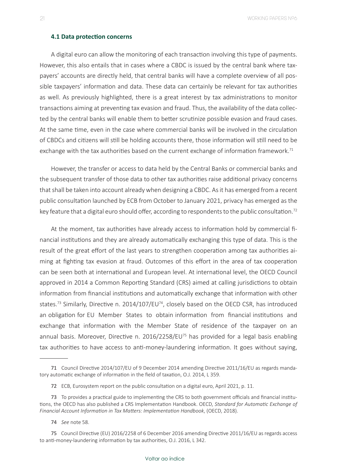21 WORKING PAPERS Nº6

#### **4.1 Data protection concerns**

A digital euro can allow the monitoring of each transaction involving this type of payments. However, this also entails that in cases where a CBDC is issued by the central bank where taxpayers' accounts are directly held, that central banks will have a complete overview of all possible taxpayers' information and data. These data can certainly be relevant for tax authorities as well. As previously highlighted, there is a great interest by tax administrations to monitor transactions aiming at preventing tax evasion and fraud. Thus, the availability of the data collected by the central banks will enable them to better scrutinize possible evasion and fraud cases. At the same time, even in the case where commercial banks will be involved in the circulation of CBDCs and citizens will still be holding accounts there, those information will still need to be exchange with the tax authorities based on the current exchange of information framework.<sup>71</sup>

However, the transfer or access to data held by the Central Banks or commercial banks and the subsequent transfer of those data to other tax authorities raise additional privacy concerns that shall be taken into account already when designing a CBDC. As it has emerged from a recent public consultation launched by ECB from October to January 2021, privacy has emerged as the key feature that a digital euro should offer, according to respondents to the public consultation.<sup>72</sup>

At the moment, tax authorities have already access to information hold by commercial financial institutions and they are already automatically exchanging this type of data. This is the result of the great effort of the last years to strengthen cooperation among tax authorities aiming at fighting tax evasion at fraud. Outcomes of this effort in the area of tax cooperation can be seen both at international and European level. At international level, the OECD Council approved in 2014 a Common Reporting Standard (CRS) aimed at calling jurisdictions to obtain information from financial institutions and automatically exchange that information with other states.<sup>73</sup> Similarly, Directive n. 2014/107/EU<sup>74</sup>, closely based on the OECD CSR, has introduced an obligation for EU Member States to obtain information from financial institutions and exchange that information with the Member State of residence of the taxpayer on an annual basis. Moreover, Directive n. 2016/2258/EU<sup>75</sup> has provided for a legal basis enabling tax authorities to have access to anti-money-laundering information. It goes without saying,

74 *See* note 58.

<sup>71</sup> Council Directive 2014/107/EU of 9 December 2014 amending Directive 2011/16/EU as regards mandatory automatic exchange of information in the field of taxation, O.J. 2014, L 359.

<sup>72</sup> ECB, Eurosystem report on the public consultation on a digital euro, April 2021, p. 11.

<sup>73</sup> To provides a practical guide to implementing the CRS to both government officials and financial institutions, the OECD has also published a [CRS Implementation Handbook.](https://www.oecd.org/ctp/exchange-of-tax-information/implementation-handbook-standard-for-automatic-exchange-of-financial-account-information-in-tax-matters.htm) OECD, *Standard for Automatic Exchange of Financial Account Information in Tax Matters: Implementation Handbook*, (OECD, 2018).

<sup>75</sup> Council Directive (EU) 2016/2258 of 6 December 2016 amending Directive 2011/16/EU as regards access to anti-money-laundering information by tax authorities, O.J. 2016, L 342.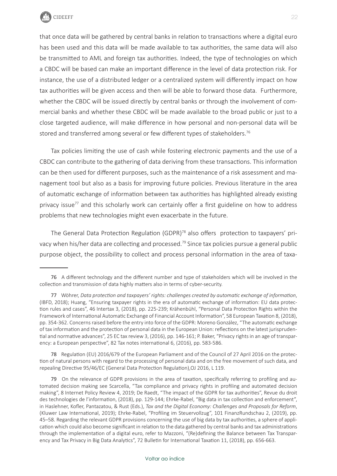

that once data will be gathered by central banks in relation to transactions where a digital euro has been used and this data will be made available to tax authorities, the same data will also be transmitted to AML and foreign tax authorities. Indeed, the type of technologies on which a CBDC will be based can make an important difference in the level of data protection risk. For instance, the use of a distributed ledger or a centralized system will differently impact on how tax authorities will be given access and then will be able to forward those data. Furthermore, whether the CBDC will be issued directly by central banks or through the involvement of commercial banks and whether these CBDC will be made available to the broad public or just to a close targeted audience, will make difference in how personal and non-personal data will be stored and transferred among several or few different types of stakeholders.<sup>76</sup>

Tax policies limiting the use of cash while fostering electronic payments and the use of a CBDC can contribute to the gathering of data deriving from these transactions. This information can be then used for different purposes, such as the maintenance of a risk assessment and management tool but also as a basis for improving future policies. Previous literature in the area of automatic exchange of information between tax authorities has highlighted already existing privacy issue<sup>77</sup> and this scholarly work can certainly offer a first guideline on how to address problems that new technologies might even exacerbate in the future.

The General Data Protection Regulation (GDPR)<sup>78</sup> also offers protection to taxpayers' privacy when his/her data are collecting and processed.<sup>79</sup> Since tax policies pursue a general public purpose object, the possibility to collect and process personal information in the area of taxa-

78 Regulation (EU) 2016/679 of the European Parliament and of the Council of 27 April 2016 on the protection of natural persons with regard to the processing of personal data and on the free movement of such data, and repealing Directive 95/46/EC (General Data Protection Regulation),OJ 2016, L 119.

<sup>76</sup> A different technology and the different number and type of stakeholders which will be involved in the collection and transmission of data highly matters also in terms of cyber-security.

<sup>77</sup> Wöhrer, *Data protection and taxpayers' rights: challenges created by automatic exchange of information*, (IBFD, 2018); Huang, "Ensuring taxpayer rights in the era of automatic exchange of information: EU data protection rules and cases", 46 Intertax 3, (2018), pp. 225-239; Krähenbühl, "Personal Data Protection Rights within the Framework of International Automatic Exchange of Financial Account Information", 58 European Taxation 8, (2018), pp. 354-362. Concerns raised before the entry into force of the GDPR: Moreno González, "The automatic exchange of tax information and the protection of personal data in the European Union: reflections on the latest jurisprudential and normative advances", 25 EC tax review 3, (2016), pp. 146-161; P. Baker, "Privacy rights in an age of transparency: a European perspective", 82 Tax notes international 6, (2016), pp. 583-586.

<sup>79</sup> On the relevance of GDPR provisions in the area of taxation, specifically referring to profiling and automated decision making see Scarcella, "Tax compliance and privacy rights in profiling and automated decision making", 8 Internet Policy Review 4, 2019; De Raedt, "The impact of the GDPR for tax authorities", Revue du droit des technologies de l'information, (2018), pp. 129-144; Ehrke-Rabel, "Big data in tax collection and enforcement", in Haslehner, Kofler, Pantazatou, & Rust (Eds.), *Tax and the Digital Economy: Challenges and Proposals for Reform*, (Kluwer Law International, 2019); Ehrke-Rabel, "Profiling im Steuervollzug", 101 FinanzRundschau 2, (2019), pp. 45–58. Regarding the relevant GDPR provisions concerning the use of big data by tax authorities, a sphere of application which could also become significant in relation to the data gathered by central banks and tax administrations through the implementation of a digital euro, refer to Mazzoni, "(Re)defining the Balance between Tax Transparency and Tax Privacy in Big Data Analytics", 72 Bulletin for International Taxation 11, (2018), pp. 656-663.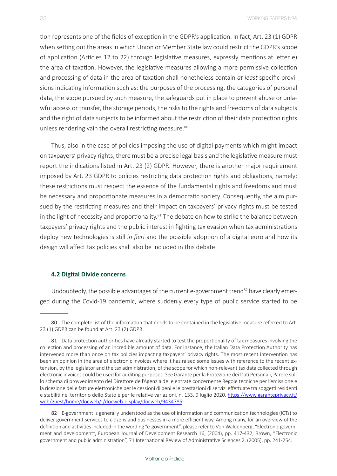tion represents one of the fields of exception in the GDPR's application. In fact, Art. 23 (1) GDPR when setting out the areas in which Union or Member State law could restrict the GDPR's scope of application (Articles 12 to 22) through legislative measures, expressly mentions at letter e) the area of taxation. However, the legislative measures allowing a more permissive collection and processing of data in the area of taxation shall nonetheless contain *at least* specific provisions indicating information such as: the purposes of the processing, the categories of personal data, the scope pursued by such measure, the safeguards put in place to prevent abuse or unlawful access or transfer, the storage periods, the risks to the rights and freedoms of data subjects and the right of data subjects to be informed about the restriction of their data protection rights unless rendering vain the overall restricting measure.<sup>80</sup>

Thus, also in the case of policies imposing the use of digital payments which might impact on taxpayers' privacy rights, there must be a precise legal basis and the legislative measure must report the indications listed in Art. 23 (2) GDPR. However, there is another major requirement imposed by Art. 23 GDPR to policies restricting data protection rights and obligations, namely: these restrictions must respect the essence of the fundamental rights and freedoms and must be necessary and proportionate measures in a democratic society. Consequently, the aim pursued by the restricting measures and their impact on taxpayers' privacy rights must be tested in the light of necessity and proportionality.<sup>81</sup> The debate on how to strike the balance between taxpayers' privacy rights and the public interest in fighting tax evasion when tax administrations deploy new technologies is still *in fieri* and the possible adoption of a digital euro and how its design will affect tax policies shall also be included in this debate.

#### **4.2 Digital Divide concerns**

Undoubtedly, the possible advantages of the current e-government trend<sup>82</sup> have clearly emerged during the Covid-19 pandemic, where suddenly every type of public service started to be

<sup>80</sup> The complete list of the information that needs to be contained in the legislative measure referred to Art. 23 (1) GDPR can be found at Art. 23 (2) GDPR.

<sup>81</sup> Data protection authorities have already started to test the proportionality of tax measures involving the collection and processing of an incredible amount of data. For instance, the Italian Data Protection Authority has intervened more than once on tax policies impacting taxpayers' privacy rights. The most recent intervention has been an opinion in the area of electronic invoices where it has raised some issues with reference to the recent extension, by the legislator and the tax administration, of the scope for which non-relevant tax data collected through electronic invoices could be used for auditing purposes. *See* Garante per la Protezione dei Dati Personali, Parere sullo schema di provvedimento del Direttore dell'Agenzia delle entrate concernente Regole tecniche per l'emissione e la ricezione delle fatture elettroniche per le cessioni di beni e le prestazioni di servizi effettuate tra soggetti residenti e stabiliti nel territorio dello Stato e per le relative variazioni, n. 133, 9 luglio 2020. [https://www.garanteprivacy.it/](https://www.garanteprivacy.it/web/guest/home/docweb/-/docweb-display/docweb/9434785) [web/guest/home/docweb/-/docweb-display/docweb/9434785](https://www.garanteprivacy.it/web/guest/home/docweb/-/docweb-display/docweb/9434785).

<sup>82</sup> E-government is generally understood as the use of information and communication technologies (ICTs) to deliver government services to citizens and businesses in a more efficient way. Among many, for an overview of the definition and activities included in the wording "e-government", please refer to Von Waldenberg, "Electronic government and development", European Journal of Development Research 16, (2004), pp. 417-432; Brown, "Electronic government and public administration", 71 International Review of Administrative Sciences 2, (2005), pp. 241-254.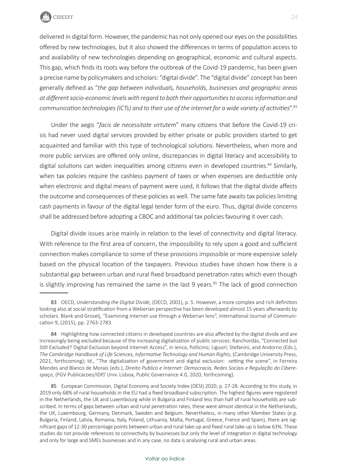

delivered in digital form. However, the pandemic has not only opened our eyes on the possibilities offered by new technologies, but it also showed the differences in terms of population access to and availability of new technologies depending on geographical, economic and cultural aspects. This gap, which finds its roots way before the outbreak of the Covid-19 pandemic, has been given a precise name by policymakers and scholars: "digital divide". The "digital divide" concept has been generally defined as "*the gap between individuals, households, businesses and geographic areas at different socio-economic levels with regard to both their opportunities to access information and communication technologies (ICTs) and to their use of the internet for a wide variety of activities*".83

Under the aegis "*facis de necessitate virtutem*" many citizens that before the Covid-19 crisis had never used digital services provided by either private or public providers started to get acquainted and familiar with this type of technological solutions. Nevertheless, when more and more public services are offered only online, discrepancies in digital literacy and accessibility to digital solutions can widen inequalities among citizens even in developed countries.<sup>84</sup> Similarly, when tax policies require the cashless payment of taxes or when expenses are deductible only when electronic and digital means of payment were used, it follows that the digital divide affects the outcome and consequences of these policies as well. The same fate awaits tax policies limiting cash payments in favour of the digital legal tender form of the euro. Thus, digital divide concerns shall be addressed before adopting a CBDC and additional tax policies favouring it over cash.

Digital divide issues arise mainly in relation to the level of connectivity and digital literacy. With reference to the first area of concern, the impossibility to rely upon a good and sufficient connection makes compliance to some of these provisions impossible or more expensive solely based on the physical location of the taxpayers. Previous studies have shown how there is a substantial gap between urban and rural fixed broadband penetration rates which even though is slightly improving has remained the same in the last 9 years. $85$  The lack of good connection

<sup>83</sup> OECD, *Understanding the Digital Divide*, (OECD, 2001), p. 5. However, a more complex and rich definition looking also at social stratification from a Weberian perspective has been developed almost 15 years afterwards by scholars. Blank and Groselj, "Examining Internet use through a Weberian lens", International Journal of Communication 9, (2015), pp. 2763-2783.

<sup>84</sup> Highlighting how connected citizens in developed countries are also affected by the digital divide and are increasingly being excluded because of the increasing digitalization of public services: Ranchordás, "Connected but Still Excluded? Digital Exclusion beyond Internet Access", in Ienca, Pollicino; Liguori; Stefanini, and Andorno (Eds.), *The Cambridge Handbook of Life Sciences, Informative Technology and Human Rights*, (Cambridge University Press, 2021, forthcoming); Id., "The digitalization of government and digital exclusion: setting the scene", in Ferreira Mendes and Blanco de Morais (eds.), *Direito Publico e Internet: Democracia, Redes Sociais e Regulação do Ciberespaço*, (FGV Publicacoes/IDP/ Univ. Lisboa, Public Governance 4.0, 2020, forthcoming).

<sup>85</sup> European Commission, Digital Economy and Society Index (DESI) 2020, p. 27-28. According to this study, in 2019 only 68% of rural households in the EU had a fixed broadband subscription. The highest figures were registered in the Netherlands, the UK and Luxembourg while in Bulgaria and Finland less than half of rural households are subscribed. In terms of gaps between urban and rural penetration rates, these were almost identical in the Netherlands, the UK, Luxembourg, Germany, Denmark, Sweden and Belgium. Nevertheless, in many other Member States (*e.g.* Bulgaria, Finland, Latvia, Romania, Italy, Poland, Lithuania, Malta, Portugal, Greece, France and Spain), there are significant gaps of 12-30 percentage points between urban and rural take-up and fixed rural take-up is below 63%. These studies do not provide references to connectivity by businesses but only the level of integration in digital technology and only for large and SMEs businesses and in any case, no data is analysing rural and urban areas.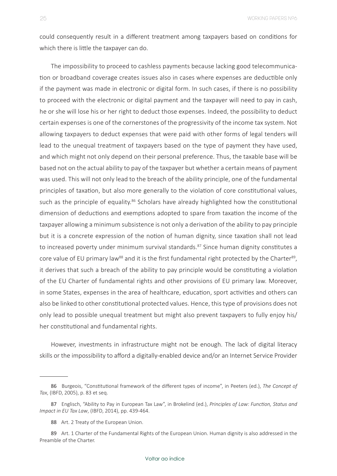could consequently result in a different treatment among taxpayers based on conditions for which there is little the taxpayer can do.

The impossibility to proceed to cashless payments because lacking good telecommunication or broadband coverage creates issues also in cases where expenses are deductible only if the payment was made in electronic or digital form. In such cases, if there is no possibility to proceed with the electronic or digital payment and the taxpayer will need to pay in cash, he or she will lose his or her right to deduct those expenses. Indeed, the possibility to deduct certain expenses is one of the cornerstones of the progressivity of the income tax system. Not allowing taxpayers to deduct expenses that were paid with other forms of legal tenders will lead to the unequal treatment of taxpayers based on the type of payment they have used, and which might not only depend on their personal preference. Thus, the taxable base will be based not on the actual ability to pay of the taxpayer but whether a certain means of payment was used. This will not only lead to the breach of the ability principle, one of the fundamental principles of taxation, but also more generally to the violation of core constitutional values, such as the principle of equality.<sup>86</sup> Scholars have already highlighted how the constitutional dimension of deductions and exemptions adopted to spare from taxation the income of the taxpayer allowing a minimum subsistence is not only a derivation of the ability to pay principle but it is a concrete expression of the notion of human dignity, since taxation shall not lead to increased poverty under minimum survival standards.<sup>87</sup> Since human dignity constitutes a core value of EU primary law<sup>88</sup> and it is the first fundamental right protected by the Charter<sup>89</sup>, it derives that such a breach of the ability to pay principle would be constituting a violation of the EU Charter of fundamental rights and other provisions of EU primary law. Moreover, in some States, expenses in the area of healthcare, education, sport activities and others can also be linked to other constitutional protected values. Hence, this type of provisions does not only lead to possible unequal treatment but might also prevent taxpayers to fully enjoy his/ her constitutional and fundamental rights.

However, investments in infrastructure might not be enough. The lack of digital literacy skills or the impossibility to afford a digitally-enabled device and/or an Internet Service Provider

<sup>86</sup> Burgeois, "Constitutional framework of the different types of income", in Peeters (ed.), *The Concept of Tax*, (IBFD, 2005), p. 83 et seq.

<sup>87</sup> Englisch, "Ability to Pay in European Tax Law", in Brokelind (ed.), *Principles of Law: Function, Status and Impact in EU Tax Law*, (IBFD, 2014), pp. 439-464.

<sup>88</sup> Art. 2 Treaty of the European Union.

<sup>89</sup> Art. 1 Charter of the Fundamental Rights of the European Union. Human dignity is also addressed in the Preamble of the Charter.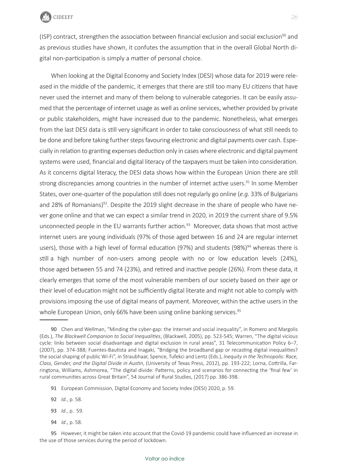

(ISP) contract, strengthen the association between financial exclusion and social exclusion<sup>90</sup> and as previous studies have shown, it confutes the assumption that in the overall Global North digital non-participation is simply a matter of personal choice.

When looking at the Digital Economy and Society Index (DESI) whose data for 2019 were released in the middle of the pandemic, it emerges that there are still too many EU citizens that have never used the internet and many of them belong to vulnerable categories. It can be easily assumed that the percentage of internet usage as well as online services, whether provided by private or public stakeholders, might have increased due to the pandemic. Nonetheless, what emerges from the last DESI data is still very significant in order to take consciousness of what still needs to be done and before taking further steps favouring electronic and digital payments over cash. Especially in relation to granting expenses deduction only in cases where electronic and digital payment systems were used, financial and digital literacy of the taxpayers must be taken into consideration. As it concerns digital literacy, the DESI data shows how within the European Union there are still strong discrepancies among countries in the number of internet active users.<sup>91</sup> In some Member States, over one-quarter of the population still does not regularly go online (*e.g.* 33% of Bulgarians and 28% of Romanians)<sup>92</sup>. Despite the 2019 slight decrease in the share of people who have never gone online and that we can expect a similar trend in 2020, in 2019 the current share of 9.5% unconnected people in the EU warrants further action. $93$  Moreover, data shows that most active internet users are young individuals (97% of those aged between 16 and 24 are regular internet users), those with a high level of formal education (97%) and students (98%)<sup>94</sup> whereas there is still a high number of non-users among people with no or low education levels (24%), those aged between 55 and 74 (23%), and retired and inactive people (26%). From these data, it clearly emerges that some of the most vulnerable members of our society based on their age or their level of education might not be sufficiently digital literate and might not able to comply with provisions imposing the use of digital means of payment. Moreover, within the active users in the whole European Union, only 66% have been using online banking services.<sup>95</sup>

92 *Id.*, p. 58.

- 93 *Id.*, p. 59.
- 94 *Id*., p. 58.

<sup>90</sup> Chen and Wellman, "Minding the cyber-gap: the Internet and social inequality", in Romero and Margolis (Eds.), *The Blackwell Companion to Social Inequalities*, (Blackwell, 2005), pp. 523-545; Warren, "The digital vicious cycle: links between social disadvantage and digital exclusion in rural areas", 31 Telecommunication Policy 6–7, (2007), pp. 374-388; Fuentes-Bautista and Inagaki, "Bridging the broadband gap or recasting digital inequalities? the social shaping of public Wi-Fi", in Straubhaar, Spence, Tufekci and Lentz (Eds.), *Inequity in the Technopolis: Race, Class, Gender, and the Digital Divide in Austin*, (University of Texas Press, 2012), pp. 193-222; Lorna, Cottrilla, Farringtona, Williams, Ashmorea, "The digital divide: Patterns, policy and scenarios for connecting the 'final few' in rural communities across Great Britain", 54 Journal of Rural Studies, (2017) pp. 386-398.

<sup>91</sup> European Commission, Digital Economy and Society Index (DESI) 2020, p. 59.

<sup>95</sup> However, it might be taken into account that the Covid-19 pandemic could have influenced an increase in the use of those services during the period of lockdown.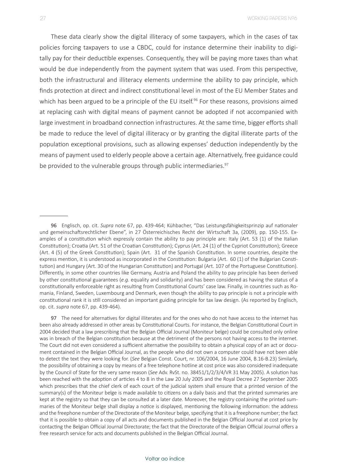These data clearly show the digital illiteracy of some taxpayers, which in the cases of tax policies forcing taxpayers to use a CBDC, could for instance determine their inability to digitally pay for their deductible expenses. Consequently, they will be paying more taxes than what would be due independently from the payment system that was used. From this perspective, both the infrastructural and illiteracy elements undermine the ability to pay principle, which finds protection at direct and indirect constitutional level in most of the EU Member States and which has been argued to be a principle of the EU itself.<sup>96</sup> For these reasons, provisions aimed at replacing cash with digital means of payment cannot be adopted if not accompanied with large investment in broadband connection infrastructures. At the same time, bigger efforts shall be made to reduce the level of digital illiteracy or by granting the digital illiterate parts of the population exceptional provisions, such as allowing expenses' deduction independently by the means of payment used to elderly people above a certain age. Alternatively, free guidance could be provided to the vulnerable groups through public intermediaries.<sup>97</sup>

<sup>96</sup> Englisch, op. cit. *Supra* note 67, pp. 439-464; Kühbacher, "Das Leistungsfähigkeitsprinzip auf nationaler und gemeinschaftsrechtlicher Ebene", in 27 Österreichisches Recht der Wirtschaft 3a, (2009), pp. 150-155. Examples of a constitution which expressly contain the ability to pay principle are: Italy (Art. 53 (1) of the Italian Constitution); Croatia (Art. 51 of the Croatian Constitution); Cyprus (Art. 24 (1) of the Cypriot Constitution); Greece (Art. 4 (5) of the Greek Constitution); Spain (Art. 31 of the Spanish Constitution. In some countries, despite the express mention, it is understood as incorporated in the Constitution: Bulgaria (Art. 60 (1) of the Bulgarian Constitution) and Hungary (Art. 30 of the Hungarian Constitution) and Portugal (Art. 107 of the Portuguese Constitution). Differently, in some other countries like Germany, Austria and Poland the ability to pay principle has been derived by other constitutional guarantees (*e.g.* equality and solidarity) and has been considered as having the status of a constitutionally enforceable right as resulting from Constitutional Courts' case law. Finally, in countries such as Romania, Finland, Sweden, Luxembourg and Denmark, even though the ability to pay principle is not a principle with constitutional rank it is still considered an important guiding principle for tax law design. (As reported by Englisch, op. cit. *supra* note 67, pp. 439-464).

<sup>97</sup> The need for alternatives for digital illiterates and for the ones who do not have access to the internet has been also already addressed in other areas by Constitutional Courts. For instance, the Belgian Constitutional Court in 2004 decided that a law prescribing that the Belgian Official Journal (Moniteur belge) could be consulted only online was in breach of the Belgian constitution because at the detriment of the persons not having access to the internet. The Court did not even considered a sufficient alternative the possibility to obtain a physical copy of an act or document contained in the Belgian Official Journal, as the people who did not own a computer could have not been able to detect the text they were looking for. (*See* Belgian Const. Court, nr. 106/2004, 16 June 2004, B.16-B.23) Similarly, the possibility of obtaining a copy by means of a free telephone hotline at cost price was also considered inadequate by the Council of State for the very same reason (*See* Adv. RvSt. no. 38451/1/2/3/4/VR 31 May 2005). A solution has been reached with the adoption of articles 4 to 8 in the Law 20 July 2005 and the Royal Decree 27 September 2005 which prescribes that the chief clerk of each court of the judicial system shall ensure that a printed version of the summary(s) of the Moniteur belge is made available to citizens on a daily basis and that the printed summaries are kept at the registry so that they can be consulted at a later date. Moreover, the registry containing the printed summaries of the Moniteur belge shall display a notice is displayed, mentioning the following information: the address and the freephone number of the Directorate of the Moniteur belge, specifying that it is a freephone number; the fact that it is possible to obtain a copy of all acts and documents published in the Belgian Official Journal at cost price by contacting the Belgian Official Journal Directorate; the fact that the Directorate of the Belgian Official Journal offers a free research service for acts and documents published in the Belgian Official Journal.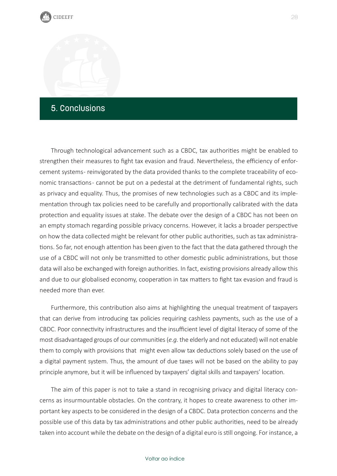### <span id="page-28-0"></span>5. Conclusions

Through technological advancement such as a CBDC, tax authorities might be enabled to strengthen their measures to fight tax evasion and fraud. Nevertheless, the efficiency of enforcement systems- reinvigorated by the data provided thanks to the complete traceability of economic transactions - cannot be put on a pedestal at the detriment of fundamental rights, such as privacy and equality. Thus, the promises of new technologies such as a CBDC and its implementation through tax policies need to be carefully and proportionally calibrated with the data protection and equality issues at stake. The debate over the design of a CBDC has not been on an empty stomach regarding possible privacy concerns. However, it lacks a broader perspective on how the data collected might be relevant for other public authorities, such as tax administrations. So far, not enough attention has been given to the fact that the data gathered through the use of a CBDC will not only be transmitted to other domestic public administrations, but those data will also be exchanged with foreign authorities. In fact, existing provisions already allow this and due to our globalised economy, cooperation in tax matters to fight tax evasion and fraud is needed more than ever.

Furthermore, this contribution also aims at highlighting the unequal treatment of taxpayers that can derive from introducing tax policies requiring cashless payments, such as the use of a CBDC. Poor connectivity infrastructures and the insufficient level of digital literacy of some of the most disadvantaged groups of our communities (*e.g.* the elderly and not educated) will not enable them to comply with provisions that might even allow tax deductions solely based on the use of a digital payment system. Thus, the amount of due taxes will not be based on the ability to pay principle anymore, but it will be influenced by taxpayers' digital skills and taxpayers' location.

The aim of this paper is not to take a stand in recognising privacy and digital literacy concerns as insurmountable obstacles. On the contrary, it hopes to create awareness to other important key aspects to be considered in the design of a CBDC. Data protection concerns and the possible use of this data by tax administrations and other public authorities, need to be already taken into account while the debate on the design of a digital euro is still ongoing. For instance, a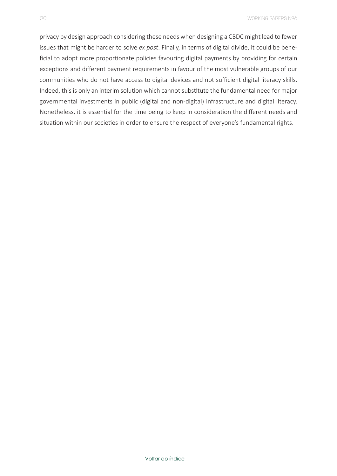privacy by design approach considering these needs when designing a CBDC might lead to fewer issues that might be harder to solve *ex post*. Finally, in terms of digital divide, it could be beneficial to adopt more proportionate policies favouring digital payments by providing for certain exceptions and different payment requirements in favour of the most vulnerable groups of our communities who do not have access to digital devices and not sufficient digital literacy skills. Indeed, this is only an interim solution which cannot substitute the fundamental need for major governmental investments in public (digital and non-digital) infrastructure and digital literacy. Nonetheless, it is essential for the time being to keep in consideration the different needs and situation within our societies in order to ensure the respect of everyone's fundamental rights.